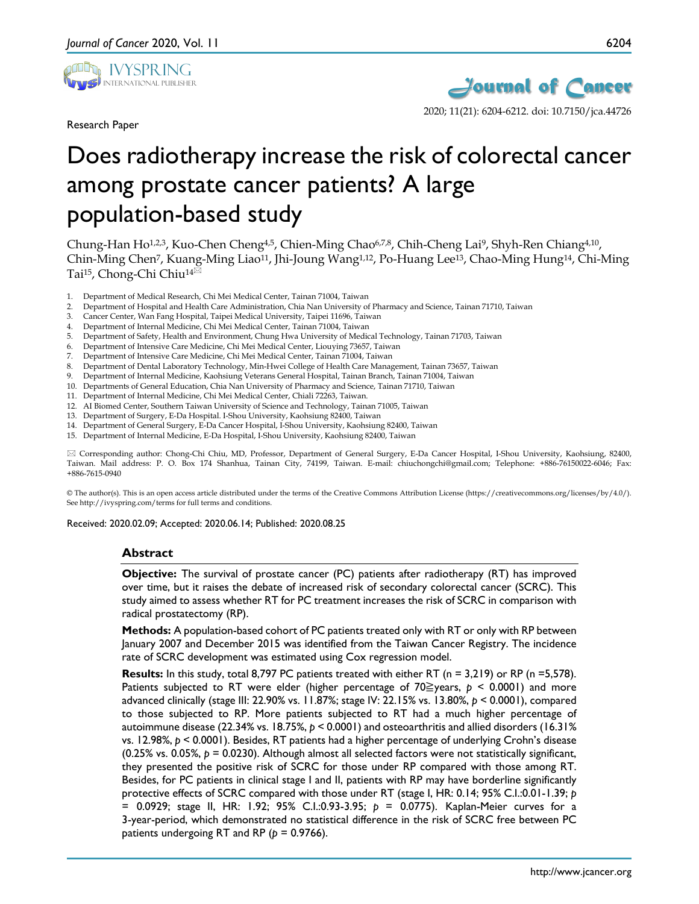

Research Paper



# Does radiotherapy increase the risk of colorectal cancer among prostate cancer patients? A large population-based study

Chung-Han Ho<sup>1,2,3</sup>, Kuo-Chen Cheng<sup>4,5</sup>, Chien-Ming Chao<sup>6,7,8</sup>, Chih-Cheng Lai<sup>9</sup>, Shyh-Ren Chiang<sup>4,10</sup>, Chin-Ming Chen7, Kuang-Ming Liao11, Jhi-Joung Wang1,12, Po-Huang Lee13, Chao-Ming Hung14, Chi-Ming Tai<sup>15</sup>, Chong-Chi Chiu<sup>14</sub>⊵</sup>

- 1. Department of Medical Research, Chi Mei Medical Center, Tainan 71004, Taiwan
- 2. Department of Hospital and Health Care Administration, Chia Nan University of Pharmacy and Science, Tainan 71710, Taiwan
- 3. Cancer Center, Wan Fang Hospital, Taipei Medical University, Taipei 11696, Taiwan
- 4. Department of Internal Medicine, Chi Mei Medical Center, Tainan 71004, Taiwan
- 5. Department of Safety, Health and Environment, Chung Hwa University of Medical Technology, Tainan 71703, Taiwan
- 6. Department of Intensive Care Medicine, Chi Mei Medical Center, Liouying 73657, Taiwan
- 7. Department of Intensive Care Medicine, Chi Mei Medical Center, Tainan 71004, Taiwan
- 8. Department of Dental Laboratory Technology, Min-Hwei College of Health Care Management, Tainan 73657, Taiwan
- 9. Department of Internal Medicine, Kaohsiung Veterans General Hospital, Tainan Branch, Tainan 71004, Taiwan
- 10. Departments of General Education, Chia Nan University of Pharmacy and Science, Tainan 71710, Taiwan
- 11. Department of Internal Medicine, Chi Mei Medical Center, Chiali 72263, Taiwan.
- 12. AI Biomed Center, Southern Taiwan University of Science and Technology, Tainan 71005, Taiwan
- 13. Department of Surgery, E-Da Hospital. I-Shou University, Kaohsiung 82400, Taiwan
- 14. Department of General Surgery, E-Da Cancer Hospital, I-Shou University, Kaohsiung 82400, Taiwan
- 15. Department of Internal Medicine, E-Da Hospital, I-Shou University, Kaohsiung 82400, Taiwan

 Corresponding author: Chong-Chi Chiu, MD, Professor, Department of General Surgery, E-Da Cancer Hospital, I-Shou University, Kaohsiung, 82400, Taiwan. Mail address: P. O. Box 174 Shanhua, Tainan City, 74199, Taiwan. E-mail: chiuchongchi@gmail.com; Telephone: +886-76150022-6046; Fax: +886-7615-0940

© The author(s). This is an open access article distributed under the terms of the Creative Commons Attribution License (https://creativecommons.org/licenses/by/4.0/). See http://ivyspring.com/terms for full terms and conditions.

Received: 2020.02.09; Accepted: 2020.06.14; Published: 2020.08.25

#### **Abstract**

**Objective:** The survival of prostate cancer (PC) patients after radiotherapy (RT) has improved over time, but it raises the debate of increased risk of secondary colorectal cancer (SCRC). This study aimed to assess whether RT for PC treatment increases the risk of SCRC in comparison with radical prostatectomy (RP).

**Methods:** A population-based cohort of PC patients treated only with RT or only with RP between January 2007 and December 2015 was identified from the Taiwan Cancer Registry. The incidence rate of SCRC development was estimated using Cox regression model.

**Results:** In this study, total 8,797 PC patients treated with either RT (n = 3,219) or RP (n =5,578). Patients subjected to RT were elder (higher percentage of 70≧years, *p* < 0.0001) and more advanced clinically (stage III: 22.90% vs. 11.87%; stage IV: 22.15% vs. 13.80%, *p* < 0.0001), compared to those subjected to RP. More patients subjected to RT had a much higher percentage of autoimmune disease (22.34% vs. 18.75%, *p* < 0.0001) and osteoarthritis and allied disorders (16.31% vs. 12.98%, *p* < 0.0001). Besides, RT patients had a higher percentage of underlying Crohn's disease (0.25% vs. 0.05%, *p* = 0.0230). Although almost all selected factors were not statistically significant, they presented the positive risk of SCRC for those under RP compared with those among RT. Besides, for PC patients in clinical stage I and II, patients with RP may have borderline significantly protective effects of SCRC compared with those under RT (stage I, HR: 0.14; 95% C.I.:0.01-1.39; *p* = 0.0929; stage II, HR: 1.92; 95% C.I.:0.93-3.95; *p* = 0.0775). Kaplan-Meier curves for a 3-year-period, which demonstrated no statistical difference in the risk of SCRC free between PC patients undergoing RT and RP ( $p = 0.9766$ ).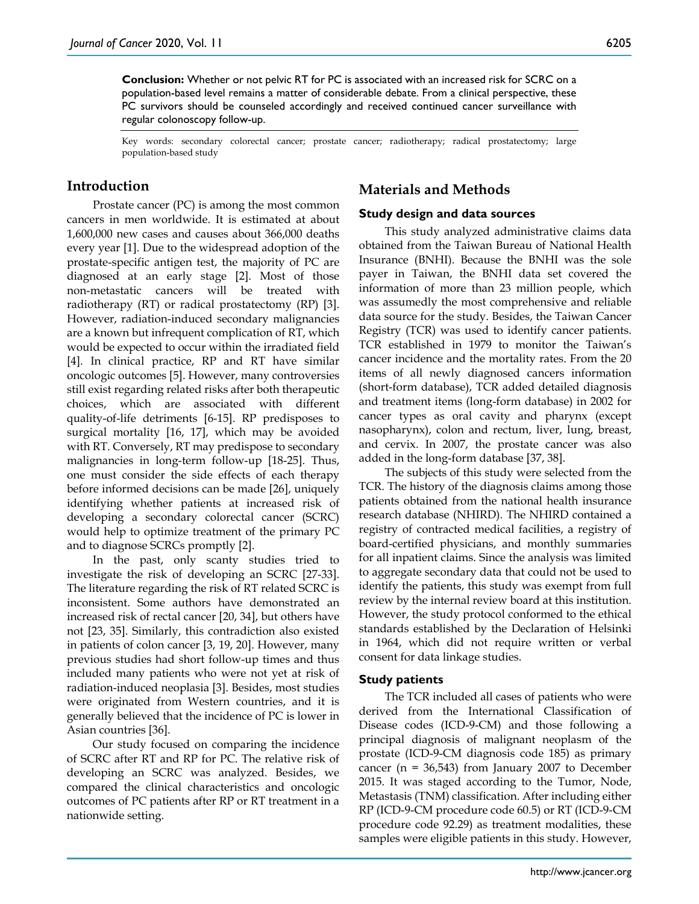**Conclusion:** Whether or not pelvic RT for PC is associated with an increased risk for SCRC on a population-based level remains a matter of considerable debate. From a clinical perspective, these PC survivors should be counseled accordingly and received continued cancer surveillance with regular colonoscopy follow-up.

Key words: secondary colorectal cancer; prostate cancer; radiotherapy; radical prostatectomy; large population-based study

# **Introduction**

Prostate cancer (PC) is among the most common cancers in men worldwide. It is estimated at about 1,600,000 new cases and causes about 366,000 deaths every year [1]. Due to the widespread adoption of the prostate-specific antigen test, the majority of PC are diagnosed at an early stage [2]. Most of those non-metastatic cancers will be treated with radiotherapy (RT) or radical prostatectomy (RP) [3]. However, radiation-induced secondary malignancies are a known but infrequent complication of RT, which would be expected to occur within the irradiated field [4]. In clinical practice, RP and RT have similar oncologic outcomes [5]. However, many controversies still exist regarding related risks after both therapeutic choices, which are associated with different quality-of-life detriments [6-15]. RP predisposes to surgical mortality [16, 17], which may be avoided with RT. Conversely, RT may predispose to secondary malignancies in long-term follow-up [18-25]. Thus, one must consider the side effects of each therapy before informed decisions can be made [26], uniquely identifying whether patients at increased risk of developing a secondary colorectal cancer (SCRC) would help to optimize treatment of the primary PC and to diagnose SCRCs promptly [2].

In the past, only scanty studies tried to investigate the risk of developing an SCRC [27-33]. The literature regarding the risk of RT related SCRC is inconsistent. Some authors have demonstrated an increased risk of rectal cancer [20, 34], but others have not [23, 35]. Similarly, this contradiction also existed in patients of colon cancer [3, 19, 20]. However, many previous studies had short follow-up times and thus included many patients who were not yet at risk of radiation-induced neoplasia [3]. Besides, most studies were originated from Western countries, and it is generally believed that the incidence of PC is lower in Asian countries [36].

Our study focused on comparing the incidence of SCRC after RT and RP for PC. The relative risk of developing an SCRC was analyzed. Besides, we compared the clinical characteristics and oncologic outcomes of PC patients after RP or RT treatment in a nationwide setting.

# **Materials and Methods**

#### **Study design and data sources**

This study analyzed administrative claims data obtained from the Taiwan Bureau of National Health Insurance (BNHI). Because the BNHI was the sole payer in Taiwan, the BNHI data set covered the information of more than 23 million people, which was assumedly the most comprehensive and reliable data source for the study. Besides, the Taiwan Cancer Registry (TCR) was used to identify cancer patients. TCR established in 1979 to monitor the Taiwan's cancer incidence and the mortality rates. From the 20 items of all newly diagnosed cancers information (short-form database), TCR added detailed diagnosis and treatment items (long-form database) in 2002 for cancer types as oral cavity and pharynx (except nasopharynx), colon and rectum, liver, lung, breast, and cervix. In 2007, the prostate cancer was also added in the long-form database [37, 38].

The subjects of this study were selected from the TCR. The history of the diagnosis claims among those patients obtained from the national health insurance research database (NHIRD). The NHIRD contained a registry of contracted medical facilities, a registry of board-certified physicians, and monthly summaries for all inpatient claims. Since the analysis was limited to aggregate secondary data that could not be used to identify the patients, this study was exempt from full review by the internal review board at this institution. However, the study protocol conformed to the ethical standards established by the Declaration of Helsinki in 1964, which did not require written or verbal consent for data linkage studies.

## **Study patients**

The TCR included all cases of patients who were derived from the International Classification of Disease codes (ICD-9-CM) and those following a principal diagnosis of malignant neoplasm of the prostate (ICD-9-CM diagnosis code 185) as primary cancer ( $n = 36,543$ ) from January 2007 to December 2015. It was staged according to the Tumor, Node, Metastasis (TNM) classification. After including either RP (ICD-9-CM procedure code 60.5) or RT (ICD-9-CM procedure code 92.29) as treatment modalities, these samples were eligible patients in this study. However,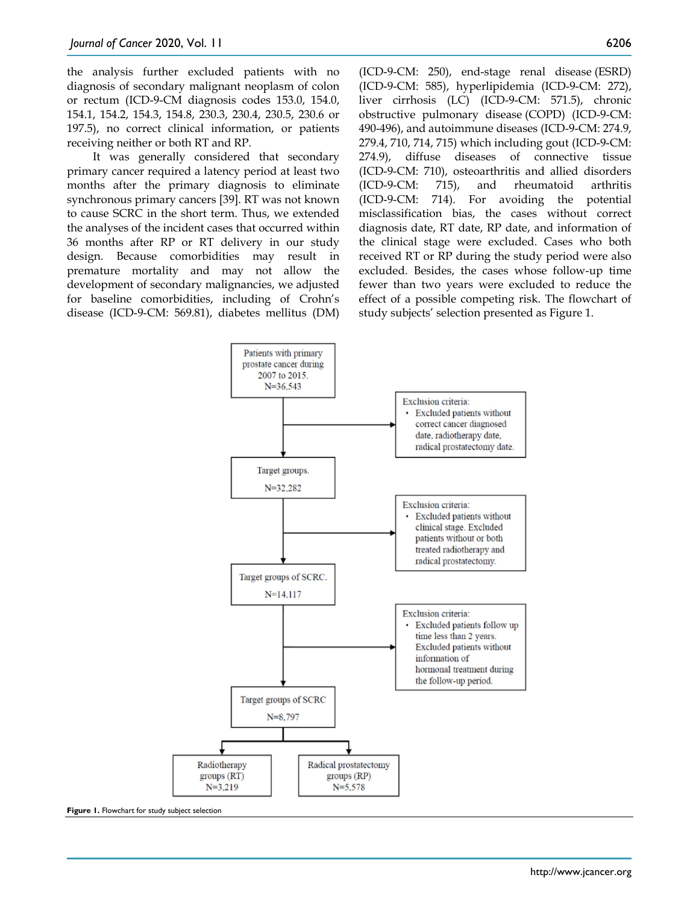the analysis further excluded patients with no diagnosis of secondary malignant neoplasm of colon or rectum (ICD-9-CM diagnosis codes 153.0, 154.0, 154.1, 154.2, 154.3, 154.8, 230.3, 230.4, 230.5, 230.6 or 197.5), no correct clinical information, or patients receiving neither or both RT and RP.

It was generally considered that secondary primary cancer required a latency period at least two months after the primary diagnosis to eliminate synchronous primary cancers [39]. RT was not known to cause SCRC in the short term. Thus, we extended the analyses of the incident cases that occurred within 36 months after RP or RT delivery in our study design. Because comorbidities may result in premature mortality and may not allow the development of secondary malignancies, we adjusted for baseline comorbidities, including of Crohn's disease (ICD-9-CM: 569.81), diabetes mellitus (DM)

(ICD-9-CM: 250), end-stage renal disease (ESRD) (ICD-9-CM: 585), hyperlipidemia (ICD-9-CM: 272), liver cirrhosis (LC) (ICD-9-CM: 571.5), chronic obstructive pulmonary disease (COPD) (ICD-9-CM: 490-496), and autoimmune diseases (ICD-9-CM: 274.9, 279.4, 710, 714, 715) which including gout (ICD-9-CM: 274.9), diffuse diseases of connective tissue (ICD-9-CM: 710), osteoarthritis and allied disorders (ICD-9-CM: 715), and rheumatoid arthritis (ICD-9-CM: 714). For avoiding the potential misclassification bias, the cases without correct diagnosis date, RT date, RP date, and information of the clinical stage were excluded. Cases who both received RT or RP during the study period were also excluded. Besides, the cases whose follow-up time fewer than two years were excluded to reduce the effect of a possible competing risk. The flowchart of study subjects' selection presented as Figure 1.



**Figure 1.** Flowchart for study subject selection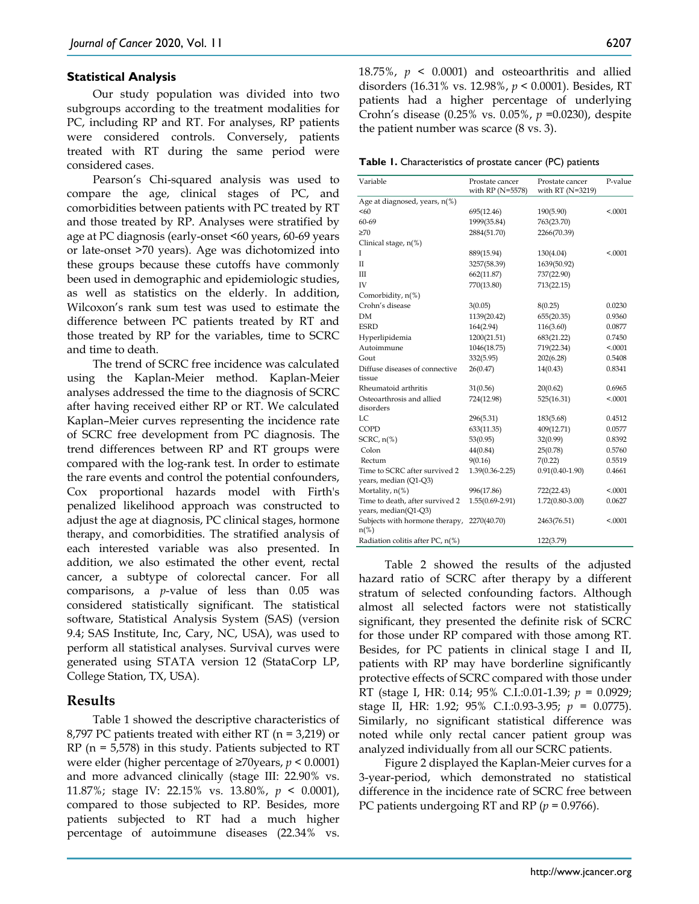#### **Statistical Analysis**

Our study population was divided into two subgroups according to the treatment modalities for PC, including RP and RT. For analyses, RP patients were considered controls. Conversely, patients treated with RT during the same period were considered cases.

Pearson's Chi-squared analysis was used to compare the age, clinical stages of PC, and comorbidities between patients with PC treated by RT and those treated by RP. Analyses were stratified by age at PC diagnosis (early-onset <60 years, 60-69 years or late-onset >70 years). Age was dichotomized into these groups because these cutoffs have commonly been used in demographic and epidemiologic studies, as well as statistics on the elderly. In addition, Wilcoxon's rank sum test was used to estimate the difference between PC patients treated by RT and those treated by RP for the variables, time to SCRC and time to death.

The trend of SCRC free incidence was calculated using the Kaplan-Meier method. Kaplan-Meier analyses addressed the time to the diagnosis of SCRC after having received either RP or RT. We calculated Kaplan–Meier curves representing the incidence rate of SCRC free development from PC diagnosis. The trend differences between RP and RT groups were compared with the log-rank test. In order to estimate the rare events and control the potential confounders, Cox proportional hazards model with Firth's penalized likelihood approach was constructed to adjust the age at diagnosis, PC clinical stages, hormone therapy, and comorbidities. The stratified analysis of each interested variable was also presented. In addition, we also estimated the other event, rectal cancer, a subtype of colorectal cancer. For all comparisons, a *p*-value of less than 0.05 was considered statistically significant. The statistical software, Statistical Analysis System (SAS) (version 9.4; SAS Institute, Inc, Cary, NC, USA), was used to perform all statistical analyses. Survival curves were generated using STATA version 12 (StataCorp LP, College Station, TX, USA).

## **Results**

Table 1 showed the descriptive characteristics of 8,797 PC patients treated with either RT (n = 3,219) or  $RP$  (n = 5,578) in this study. Patients subjected to RT were elder (higher percentage of ≥70years, *p* < 0.0001) and more advanced clinically (stage III: 22.90% vs. 11.87%; stage IV: 22.15% vs. 13.80%, *p* < 0.0001), compared to those subjected to RP. Besides, more patients subjected to RT had a much higher percentage of autoimmune diseases (22.34% vs.

18.75%,  $p \leq 0.0001$  and osteoarthritis and allied disorders (16.31% vs. 12.98%, *p* < 0.0001). Besides, RT patients had a higher percentage of underlying Crohn's disease (0.25% vs. 0.05%, *p* =0.0230), despite the patient number was scarce (8 vs. 3).

| Table 1. Characteristics of prostate cancer (PC) patients |  |  |  |  |  |
|-----------------------------------------------------------|--|--|--|--|--|
|-----------------------------------------------------------|--|--|--|--|--|

| Variable                         | Prostate cancer     | Prostate cancer     | P-value |
|----------------------------------|---------------------|---------------------|---------|
|                                  | with $RP(N=5578)$   | with RT (N=3219)    |         |
| Age at diagnosed, years, n(%)    |                     |                     |         |
| < 60                             | 695(12.46)          | 190(5.90)           | < .0001 |
| 60-69                            | 1999(35.84)         | 763(23.70)          |         |
| $\geq 70$                        | 2884(51.70)         | 2266(70.39)         |         |
| Clinical stage, $n$ (%)          |                     |                     |         |
| I                                | 889(15.94)          | 130(4.04)           | < .0001 |
| П                                | 3257(58.39)         | 1639(50.92)         |         |
| Ш                                | 662(11.87)          | 737(22.90)          |         |
| IV                               | 770(13.80)          | 713(22.15)          |         |
| Comorbidity, n(%)                |                     |                     |         |
| Crohn's disease                  | 3(0.05)             | 8(0.25)             | 0.0230  |
| DM                               | 1139(20.42)         | 655(20.35)          | 0.9360  |
| <b>ESRD</b>                      | 164(2.94)           | 116(3.60)           | 0.0877  |
| Hyperlipidemia                   | 1200(21.51)         | 683(21.22)          | 0.7450  |
| Autoimmune                       | 1046(18.75)         | 719(22.34)          | < .0001 |
| Gout                             | 332(5.95)           | 202(6.28)           | 0.5408  |
| Diffuse diseases of connective   | 26(0.47)            | 14(0.43)            | 0.8341  |
| tissue                           |                     |                     |         |
| Rheumatoid arthritis             | 31(0.56)            | 20(0.62)            | 0.6965  |
| Osteoarthrosis and allied        | 724(12.98)          | 525(16.31)          | < .0001 |
| disorders                        |                     |                     |         |
| LC                               | 296(5.31)           | 183(5.68)           | 0.4512  |
| COPD                             | 633(11.35)          | 409(12.71)          | 0.0577  |
| SCRC, $n$ (%)                    | 53(0.95)            | 32(0.99)            | 0.8392  |
| Colon                            | 44(0.84)            | 25(0.78)            | 0.5760  |
| Rectum                           | 9(0.16)             | 7(0.22)             | 0.5519  |
| Time to SCRC after survived 2    | $1.39(0.36 - 2.25)$ | $0.91(0.40 - 1.90)$ | 0.4661  |
| years, median (Q1-Q3)            |                     |                     |         |
| Mortality, n(%)                  | 996(17.86)          | 722(22.43)          | < .0001 |
| Time to death, after survived 2  | $1.55(0.69 - 2.91)$ | $1.72(0.80 - 3.00)$ | 0.0627  |
| years, median(Q1-Q3)             |                     |                     |         |
| Subjects with hormone therapy,   | 2270(40.70)         | 2463(76.51)         | < .0001 |
| $n(\%)$                          |                     |                     |         |
| Radiation colitis after PC, n(%) |                     | 122(3.79)           |         |

Table 2 showed the results of the adjusted hazard ratio of SCRC after therapy by a different stratum of selected confounding factors. Although almost all selected factors were not statistically significant, they presented the definite risk of SCRC for those under RP compared with those among RT. Besides, for PC patients in clinical stage I and II, patients with RP may have borderline significantly protective effects of SCRC compared with those under RT (stage I, HR: 0.14; 95% C.I.:0.01-1.39; *p* = 0.0929; stage II, HR: 1.92; 95% C.I.:0.93-3.95; *p* = 0.0775). Similarly, no significant statistical difference was noted while only rectal cancer patient group was analyzed individually from all our SCRC patients.

Figure 2 displayed the Kaplan-Meier curves for a 3-year-period, which demonstrated no statistical difference in the incidence rate of SCRC free between PC patients undergoing RT and RP (*p* = 0.9766).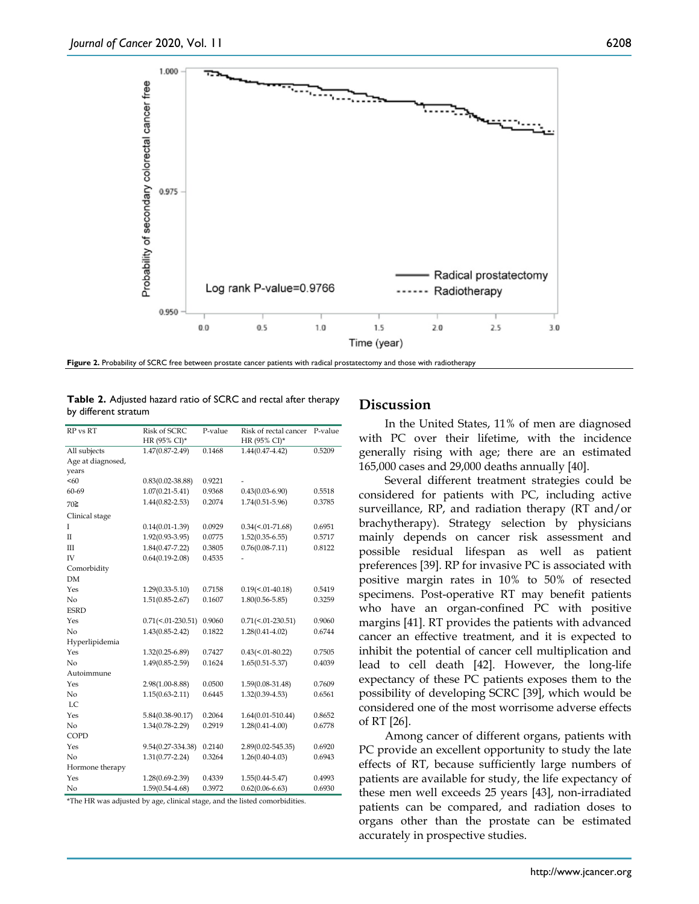

**Table 2.** Adjusted hazard ratio of SCRC and rectal after therapy by different stratum

| RP vs RT                   | Risk of SCRC<br>HR (95% CI)* | P-value | Risk of rectal cancer<br>HR (95% CI)* | P-value |
|----------------------------|------------------------------|---------|---------------------------------------|---------|
| All subjects               | $1.47(0.87 - 2.49)$          | 0.1468  | $1.44(0.47 - 4.42)$                   | 0.5209  |
| Age at diagnosed,<br>years |                              |         |                                       |         |
| < 60                       | $0.83(0.02 - 38.88)$         | 0.9221  |                                       |         |
| 60-69                      | $1.07(0.21 - 5.41)$          | 0.9368  | $0.43(0.03 - 6.90)$                   | 0.5518  |
| 70≧                        | $1.44(0.82 - 2.53)$          | 0.2074  | $1.74(0.51 - 5.96)$                   | 0.3785  |
| Clinical stage             |                              |         |                                       |         |
| T                          | $0.14(0.01 - 1.39)$          | 0.0929  | $0.34 \times 0.01 - 71.68$            | 0.6951  |
| Π                          | $1.92(0.93 - 3.95)$          | 0.0775  | $1.52(0.35-6.55)$                     | 0.5717  |
| Ш                          | $1.84(0.47 - 7.22)$          | 0.3805  | $0.76(0.08 - 7.11)$                   | 0.8122  |
| IV                         | $0.64(0.19-2.08)$            | 0.4535  |                                       |         |
| Comorbidity                |                              |         |                                       |         |
| <b>DM</b>                  |                              |         |                                       |         |
| Yes                        | $1.29(0.33 - 5.10)$          | 0.7158  | $0.19 \times 0.01 - 40.18$            | 0.5419  |
| No                         | $1.51(0.85 - 2.67)$          | 0.1607  | $1.80(0.56 - 5.85)$                   | 0.3259  |
| <b>ESRD</b>                |                              |         |                                       |         |
| Yes                        | $0.71 \times 01 - 230.51$    | 0.9060  | $0.71 \times 01 - 230.51$             | 0.9060  |
| No                         | $1.43(0.85 - 2.42)$          | 0.1822  | $1.28(0.41 - 4.02)$                   | 0.6744  |
| Hyperlipidemia             |                              |         |                                       |         |
| Yes                        | $1.32(0.25 - 6.89)$          | 0.7427  | $0.43 \times 0.01 - 80.22$            | 0.7505  |
| No                         | $1.49(0.85 - 2.59)$          | 0.1624  | $1.65(0.51 - 5.37)$                   | 0.4039  |
| Autoimmune                 |                              |         |                                       |         |
| Yes                        | $2.98(1.00-8.88)$            | 0.0500  | 1.59(0.08-31.48)                      | 0.7609  |
| No                         | $1.15(0.63 - 2.11)$          | 0.6445  | $1.32(0.39-4.53)$                     | 0.6561  |
| LC                         |                              |         |                                       |         |
| Yes                        | $5.84(0.38-90.17)$           | 0.2064  | $1.64(0.01 - 510.44)$                 | 0.8652  |
| No                         | $1.34(0.78 - 2.29)$          | 0.2919  | $1.28(0.41 - 4.00)$                   | 0.6778  |
| COPD                       |                              |         |                                       |         |
| Yes                        | 9.54(0.27-334.38)            | 0.2140  | 2.89(0.02-545.35)                     | 0.6920  |
| No                         | $1.31(0.77 - 2.24)$          | 0.3264  | $1.26(0.40 - 4.03)$                   | 0.6943  |
| Hormone therapy            |                              |         |                                       |         |
| Yes                        | $1.28(0.69 - 2.39)$          | 0.4339  | $1.55(0.44 - 5.47)$                   | 0.4993  |
| No                         | $1.59(0.54 - 4.68)$          | 0.3972  | $0.62(0.06-6.63)$                     | 0.6930  |

\*The HR was adjusted by age, clinical stage, and the listed comorbidities.

#### **Discussion**

In the United States, 11% of men are diagnosed with PC over their lifetime, with the incidence generally rising with age; there are an estimated 165,000 cases and 29,000 deaths annually [40].

Several different treatment strategies could be considered for patients with PC, including active surveillance, RP, and radiation therapy (RT and/or brachytherapy). Strategy selection by physicians mainly depends on cancer risk assessment and possible residual lifespan as well as patient preferences [39]. RP for invasive PC is associated with positive margin rates in 10% to 50% of resected specimens. Post-operative RT may benefit patients who have an organ-confined PC with positive margins [41]. RT provides the patients with advanced cancer an effective treatment, and it is expected to inhibit the potential of cancer cell multiplication and lead to cell death [42]. However, the long-life expectancy of these PC patients exposes them to the possibility of developing SCRC [39], which would be considered one of the most worrisome adverse effects of RT [26].

Among cancer of different organs, patients with PC provide an excellent opportunity to study the late effects of RT, because sufficiently large numbers of patients are available for study, the life expectancy of these men well exceeds 25 years [43], non-irradiated patients can be compared, and radiation doses to organs other than the prostate can be estimated accurately in prospective studies.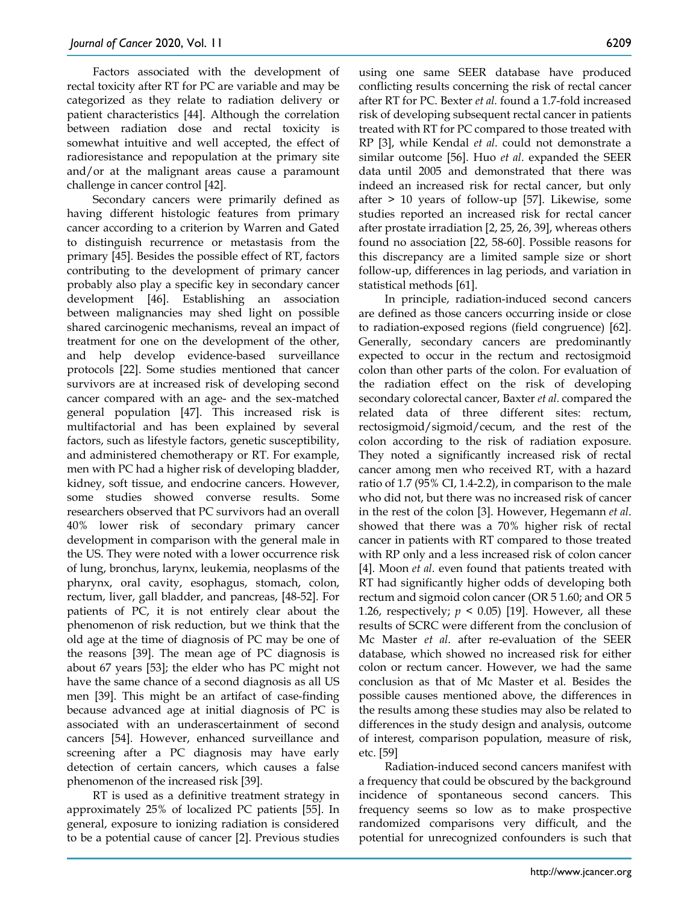Factors associated with the development of rectal toxicity after RT for PC are variable and may be categorized as they relate to radiation delivery or patient characteristics [44]. Although the correlation between radiation dose and rectal toxicity is somewhat intuitive and well accepted, the effect of radioresistance and repopulation at the primary site and/or at the malignant areas cause a paramount challenge in cancer control [42].

Secondary cancers were primarily defined as having different histologic features from primary cancer according to a criterion by Warren and Gated to distinguish recurrence or metastasis from the primary [45]. Besides the possible effect of RT, factors contributing to the development of primary cancer probably also play a specific key in secondary cancer development [46]. Establishing an association between malignancies may shed light on possible shared carcinogenic mechanisms, reveal an impact of treatment for one on the development of the other, and help develop evidence-based surveillance protocols [22]. Some studies mentioned that cancer survivors are at increased risk of developing second cancer compared with an age- and the sex-matched general population [47]. This increased risk is multifactorial and has been explained by several factors, such as lifestyle factors, genetic susceptibility, and administered chemotherapy or RT. For example, men with PC had a higher risk of developing bladder, kidney, soft tissue, and endocrine cancers. However, some studies showed converse results. Some researchers observed that PC survivors had an overall 40% lower risk of secondary primary cancer development in comparison with the general male in the US. They were noted with a lower occurrence risk of lung, bronchus, larynx, leukemia, neoplasms of the pharynx, oral cavity, esophagus, stomach, colon, rectum, liver, gall bladder, and pancreas, [48-52]. For patients of PC, it is not entirely clear about the phenomenon of risk reduction, but we think that the old age at the time of diagnosis of PC may be one of the reasons [39]. The mean age of PC diagnosis is about 67 years [53]; the elder who has PC might not have the same chance of a second diagnosis as all US men [39]. This might be an artifact of case-finding because advanced age at initial diagnosis of PC is associated with an underascertainment of second cancers [54]. However, enhanced surveillance and screening after a PC diagnosis may have early detection of certain cancers, which causes a false phenomenon of the increased risk [39].

RT is used as a definitive treatment strategy in approximately 25% of localized PC patients [55]. In general, exposure to ionizing radiation is considered to be a potential cause of cancer [2]. Previous studies

using one same SEER database have produced conflicting results concerning the risk of rectal cancer after RT for PC. Bexter *et al.* found a 1.7-fold increased risk of developing subsequent rectal cancer in patients treated with RT for PC compared to those treated with RP [3], while Kendal *et al*. could not demonstrate a similar outcome [56]. Huo *et al*. expanded the SEER data until 2005 and demonstrated that there was indeed an increased risk for rectal cancer, but only after > 10 years of follow-up [57]. Likewise, some studies reported an increased risk for rectal cancer after prostate irradiation [2, 25, 26, 39], whereas others found no association [22, 58-60]. Possible reasons for this discrepancy are a limited sample size or short follow-up, differences in lag periods, and variation in statistical methods [61].

In principle, radiation-induced second cancers are defined as those cancers occurring inside or close to radiation-exposed regions (field congruence) [62]. Generally, secondary cancers are predominantly expected to occur in the rectum and rectosigmoid colon than other parts of the colon. For evaluation of the radiation effect on the risk of developing secondary colorectal cancer, Baxter *et al.* compared the related data of three different sites: rectum, rectosigmoid/sigmoid/cecum, and the rest of the colon according to the risk of radiation exposure. They noted a significantly increased risk of rectal cancer among men who received RT, with a hazard ratio of 1.7 (95% CI, 1.4-2.2), in comparison to the male who did not, but there was no increased risk of cancer in the rest of the colon [3]. However, Hegemann *et al*. showed that there was a 70% higher risk of rectal cancer in patients with RT compared to those treated with RP only and a less increased risk of colon cancer [4]. Moon *et al*. even found that patients treated with RT had significantly higher odds of developing both rectum and sigmoid colon cancer (OR 5 1.60; and OR 5 1.26, respectively;  $p \le 0.05$  [19]. However, all these results of SCRC were different from the conclusion of Mc Master *et al*. after re-evaluation of the SEER database, which showed no increased risk for either colon or rectum cancer. However, we had the same conclusion as that of Mc Master et al. Besides the possible causes mentioned above, the differences in the results among these studies may also be related to differences in the study design and analysis, outcome of interest, comparison population, measure of risk, etc. [59]

Radiation-induced second cancers manifest with a frequency that could be obscured by the background incidence of spontaneous second cancers. This frequency seems so low as to make prospective randomized comparisons very difficult, and the potential for unrecognized confounders is such that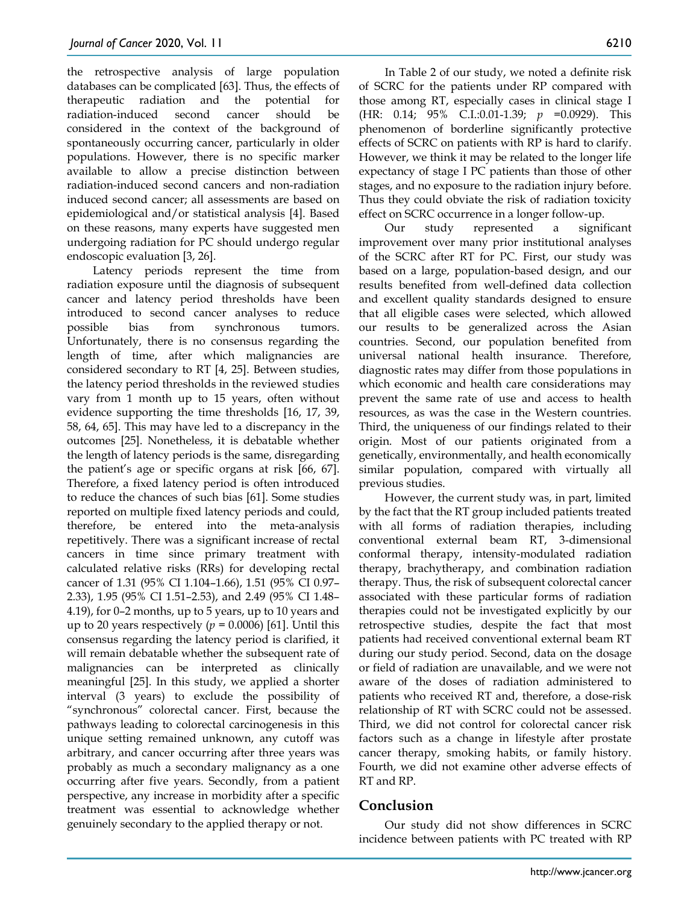the retrospective analysis of large population databases can be complicated [63]. Thus, the effects of therapeutic radiation and the potential for radiation-induced second cancer should be considered in the context of the background of spontaneously occurring cancer, particularly in older populations. However, there is no specific marker available to allow a precise distinction between radiation-induced second cancers and non-radiation induced second cancer; all assessments are based on epidemiological and/or statistical analysis [4]. Based on these reasons, many experts have suggested men undergoing radiation for PC should undergo regular endoscopic evaluation [3, 26].

Latency periods represent the time from radiation exposure until the diagnosis of subsequent cancer and latency period thresholds have been introduced to second cancer analyses to reduce possible bias from synchronous tumors. Unfortunately, there is no consensus regarding the length of time, after which malignancies are considered secondary to RT [4, 25]. Between studies, the latency period thresholds in the reviewed studies vary from 1 month up to 15 years, often without evidence supporting the time thresholds [16, 17, 39, 58, 64, 65]. This may have led to a discrepancy in the outcomes [25]. Nonetheless, it is debatable whether the length of latency periods is the same, disregarding the patient's age or specific organs at risk [66, 67]. Therefore, a fixed latency period is often introduced to reduce the chances of such bias [61]. Some studies reported on multiple fixed latency periods and could, therefore, be entered into the meta-analysis repetitively. There was a significant increase of rectal cancers in time since primary treatment with calculated relative risks (RRs) for developing rectal cancer of 1.31 (95% CI 1.104–1.66), 1.51 (95% CI 0.97– 2.33), 1.95 (95% CI 1.51–2.53), and 2.49 (95% CI 1.48– 4.19), for 0–2 months, up to 5 years, up to 10 years and up to 20 years respectively ( $p = 0.0006$ ) [61]. Until this consensus regarding the latency period is clarified, it will remain debatable whether the subsequent rate of malignancies can be interpreted as clinically meaningful [25]. In this study, we applied a shorter interval (3 years) to exclude the possibility of "synchronous" colorectal cancer. First, because the pathways leading to colorectal carcinogenesis in this unique setting remained unknown, any cutoff was arbitrary, and cancer occurring after three years was probably as much a secondary malignancy as a one occurring after five years. Secondly, from a patient perspective, any increase in morbidity after a specific treatment was essential to acknowledge whether genuinely secondary to the applied therapy or not.

In Table 2 of our study, we noted a definite risk of SCRC for the patients under RP compared with those among RT, especially cases in clinical stage I (HR: 0.14; 95% C.I.:0.01-1.39; *p* =0.0929). This phenomenon of borderline significantly protective effects of SCRC on patients with RP is hard to clarify. However, we think it may be related to the longer life expectancy of stage I PC patients than those of other stages, and no exposure to the radiation injury before. Thus they could obviate the risk of radiation toxicity effect on SCRC occurrence in a longer follow-up.

Our study represented a significant improvement over many prior institutional analyses of the SCRC after RT for PC. First, our study was based on a large, population-based design, and our results benefited from well-defined data collection and excellent quality standards designed to ensure that all eligible cases were selected, which allowed our results to be generalized across the Asian countries. Second, our population benefited from universal national health insurance. Therefore, diagnostic rates may differ from those populations in which economic and health care considerations may prevent the same rate of use and access to health resources, as was the case in the Western countries. Third, the uniqueness of our findings related to their origin. Most of our patients originated from a genetically, environmentally, and health economically similar population, compared with virtually all previous studies.

However, the current study was, in part, limited by the fact that the RT group included patients treated with all forms of radiation therapies, including conventional external beam RT, 3-dimensional conformal therapy, intensity-modulated radiation therapy, brachytherapy, and combination radiation therapy. Thus, the risk of subsequent colorectal cancer associated with these particular forms of radiation therapies could not be investigated explicitly by our retrospective studies, despite the fact that most patients had received conventional external beam RT during our study period. Second, data on the dosage or field of radiation are unavailable, and we were not aware of the doses of radiation administered to patients who received RT and, therefore, a dose-risk relationship of RT with SCRC could not be assessed. Third, we did not control for colorectal cancer risk factors such as a change in lifestyle after prostate cancer therapy, smoking habits, or family history. Fourth, we did not examine other adverse effects of RT and RP.

#### **Conclusion**

Our study did not show differences in SCRC incidence between patients with PC treated with RP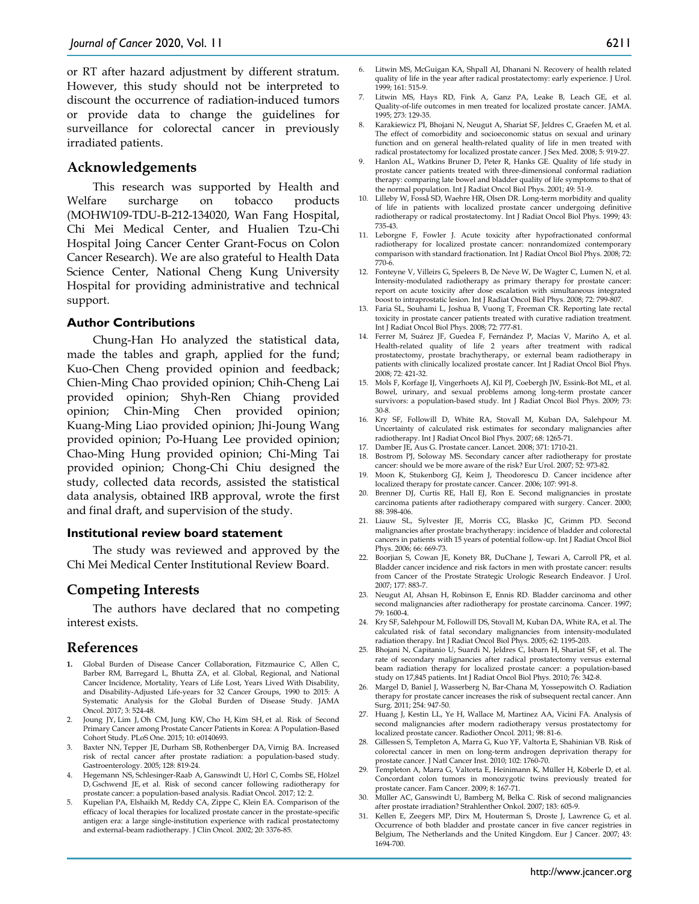or RT after hazard adjustment by different stratum. However, this study should not be interpreted to discount the occurrence of radiation-induced tumors or provide data to change the guidelines for surveillance for colorectal cancer in previously irradiated patients.

#### **Acknowledgements**

This research was supported by Health and Welfare surcharge on tobacco products (MOHW109-TDU-B-212-134020, Wan Fang Hospital, Chi Mei Medical Center, and Hualien Tzu-Chi Hospital Joing Cancer Center Grant-Focus on Colon Cancer Research). We are also grateful to Health Data Science Center, National Cheng Kung University Hospital for providing administrative and technical support.

#### **Author Contributions**

Chung-Han Ho analyzed the statistical data, made the tables and graph, applied for the fund; Kuo-Chen Cheng provided opinion and feedback; Chien-Ming Chao provided opinion; Chih-Cheng Lai provided opinion; Shyh-Ren Chiang provided opinion; Chin-Ming Chen provided opinion; Kuang-Ming Liao provided opinion; Jhi-Joung Wang provided opinion; Po-Huang Lee provided opinion; Chao-Ming Hung provided opinion; Chi-Ming Tai provided opinion; Chong-Chi Chiu designed the study, collected data records, assisted the statistical data analysis, obtained IRB approval, wrote the first and final draft, and supervision of the study.

#### **Institutional review board statement**

The study was reviewed and approved by the Chi Mei Medical Center Institutional Review Board.

#### **Competing Interests**

The authors have declared that no competing interest exists.

#### **References**

- **1.** Global Burden of Disease Cancer Collaboration, Fitzmaurice C, Allen C, Barber RM, Barregard L, Bhutta ZA, et al. Global, Regional, and National Cancer Incidence, Mortality, Years of Life Lost, Years Lived With Disability, and Disability-Adjusted Life-years for 32 Cancer Groups, 1990 to 2015: A Systematic Analysis for the Global Burden of Disease Study. JAMA Oncol. 2017; 3: 524-48.
- 2. Joung JY, Lim J, Oh CM, Jung KW, Cho H, Kim SH, et al. Risk of Second Primary Cancer among Prostate Cancer Patients in Korea: A Population-Based Cohort Study. PLoS One. 2015; 10: e0140693.
- 3. Baxter NN, Tepper JE, Durham SB, Rothenberger DA, Virnig BA. Increased risk of rectal cancer after prostate radiation: a population-based study. Gastroenterology. 2005; 128: 819-24.
- 4. Hegemann NS, Schlesinger-Raab A, Ganswindt U, Hörl C, Combs SE, Hölzel D, Gschwend JE, et al. Risk of second cancer following radiotherapy for prostate cancer: a population-based analysis. Radiat Oncol. 2017; 12: 2.
- 5. Kupelian PA, Elshaikh M, Reddy CA, Zippe C, Klein EA. Comparison of the efficacy of local therapies for localized prostate cancer in the prostate-specific antigen era: a large single-institution experience with radical prostatectomy and external-beam radiotherapy. J Clin Oncol. 2002; 20: 3376-85.
- 7. Litwin MS, Hays RD, Fink A, Ganz PA, Leake B, Leach GE, et al. Quality-of-life outcomes in men treated for localized prostate cancer. JAMA. 1995; 273: 129-35.
- 8. Karakiewicz PI, Bhojani N, Neugut A, Shariat SF, Jeldres C, Graefen M, et al. The effect of comorbidity and socioeconomic status on sexual and urinary function and on general health-related quality of life in men treated with radical prostatectomy for localized prostate cancer. J Sex Med. 2008; 5: 919-27.
- 9. Hanlon AL, Watkins Bruner D, Peter R, Hanks GE. Quality of life study in prostate cancer patients treated with three-dimensional conformal radiation therapy: comparing late bowel and bladder quality of life symptoms to that of the normal population. Int J Radiat Oncol Biol Phys. 2001; 49: 51-9.
- 10. Lilleby W, Fosså SD, Waehre HR, Olsen DR. Long-term morbidity and quality of life in patients with localized prostate cancer undergoing definitive radiotherapy or radical prostatectomy. Int J Radiat Oncol Biol Phys. 1999; 43: 735-43.
- 11. Leborgne F, Fowler J. Acute toxicity after hypofractionated conformal radiotherapy for localized prostate cancer: nonrandomized contemporary comparison with standard fractionation. Int J Radiat Oncol Biol Phys. 2008; 72: 770-6.
- 12. Fonteyne V, Villeirs G, Speleers B, De Neve W, De Wagter C, Lumen N, et al. Intensity-modulated radiotherapy as primary therapy for prostate cancer: report on acute toxicity after dose escalation with simultaneous integrated boost to intraprostatic lesion. Int J Radiat Oncol Biol Phys. 2008; 72: 799-807.
- 13. Faria SL, Souhami L, Joshua B, Vuong T, Freeman CR. Reporting late rectal toxicity in prostate cancer patients treated with curative radiation treatment. Int J Radiat Oncol Biol Phys. 2008; 72: 777-81.
- 14. Ferrer M, Suárez JF, Guedea F, Fernández P, Macías V, Mariño A, et al. Health-related quality of life 2 years after treatment with radical prostatectomy, prostate brachytherapy, or external beam radiotherapy in patients with clinically localized prostate cancer. Int J Radiat Oncol Biol Phys. 2008; 72: 421-32.
- 15. Mols F, Korfage IJ, Vingerhoets AJ, Kil PJ, Coebergh JW, Essink-Bot ML, et al. Bowel, urinary, and sexual problems among long-term prostate cancer survivors: a population-based study. Int J Radiat Oncol Biol Phys. 2009; 73: 30-8.
- 16. Kry SF, Followill D, White RA, Stovall M, Kuban DA, Salehpour M. Uncertainty of calculated risk estimates for secondary malignancies after radiotherapy. Int J Radiat Oncol Biol Phys. 2007; 68: 1265-71.
- 17. Damber JE, Aus G. Prostate cancer. Lancet. 2008; 371: 1710-21.
- 18. Bostrom PJ, Soloway MS. Secondary cancer after radiotherapy for prostate cancer: should we be more aware of the risk? Eur Urol. 2007; 52: 973-82.
- 19. Moon K, Stukenborg GJ, Keim J, Theodorescu D. Cancer incidence after localized therapy for prostate cancer. Cancer. 2006; 107: 991-8.
- 20. Brenner DJ, Curtis RE, Hall EJ, Ron E. Second malignancies in prostate carcinoma patients after radiotherapy compared with surgery. Cancer. 2000; 88: 398-406.
- 21. Liauw SL, Sylvester JE, Morris CG, Blasko JC, Grimm PD. Second malignancies after prostate brachytherapy: incidence of bladder and colorectal cancers in patients with 15 years of potential follow-up. Int J Radiat Oncol Biol Phys. 2006; 66: 669-73.
- 22. Boorjian S, Cowan JE, Konety BR, DuChane J, Tewari A, Carroll PR, et al. Bladder cancer incidence and risk factors in men with prostate cancer: results from Cancer of the Prostate Strategic Urologic Research Endeavor. J Urol. 2007; 177: 883-7.
- 23. Neugut AI, Ahsan H, Robinson E, Ennis RD. Bladder carcinoma and other second malignancies after radiotherapy for prostate carcinoma. Cancer. 1997; 79: 1600-4.
- 24. Kry SF, Salehpour M, Followill DS, Stovall M, Kuban DA, White RA, et al. The calculated risk of fatal secondary malignancies from intensity-modulated radiation therapy. Int J Radiat Oncol Biol Phys. 2005; 62: 1195-203.
- 25. Bhojani N, Capitanio U, Suardi N, Jeldres C, Isbarn H, Shariat SF, et al. The rate of secondary malignancies after radical prostatectomy versus external beam radiation therapy for localized prostate cancer: a population-based study on 17,845 patients. Int J Radiat Oncol Biol Phys. 2010; 76: 342-8.
- 26. Margel D, Baniel J, Wasserberg N, Bar-Chana M, Yossepowitch O. Radiation therapy for prostate cancer increases the risk of subsequent rectal cancer. Ann Surg. 2011; 254: 947-50.
- 27. Huang J, Kestin LL, Ye H, Wallace M, Martinez AA, Vicini FA. Analysis of second malignancies after modern radiotherapy versus prostatectomy for localized prostate cancer. Radiother Oncol*.* 2011; 98: 81-6.
- 28. Gillessen S, Templeton A, Marra G, Kuo YF, Valtorta E, Shahinian VB. Risk of colorectal cancer in men on long-term androgen deprivation therapy for prostate cancer. J Natl Cancer Inst. 2010; 102: 1760-70.
- 29. Templeton A, Marra G, Valtorta E, Heinimann K, Müller H, Köberle D, et al. Concordant colon tumors in monozygotic twins previously treated for prostate cancer. Fam Cancer. 2009; 8: 167-71.
- 30. Müller AC, Ganswindt U, Bamberg M, Belka C. Risk of second malignancies after prostate irradiation? Strahlenther Onkol. 2007; 183: 605-9.
- Kellen E, Zeegers MP, Dirx M, Houterman S, Droste J, Lawrence G, et al. Occurrence of both bladder and prostate cancer in five cancer registries in Belgium, The Netherlands and the United Kingdom. Eur J Cancer. 2007; 43: 1694-700.